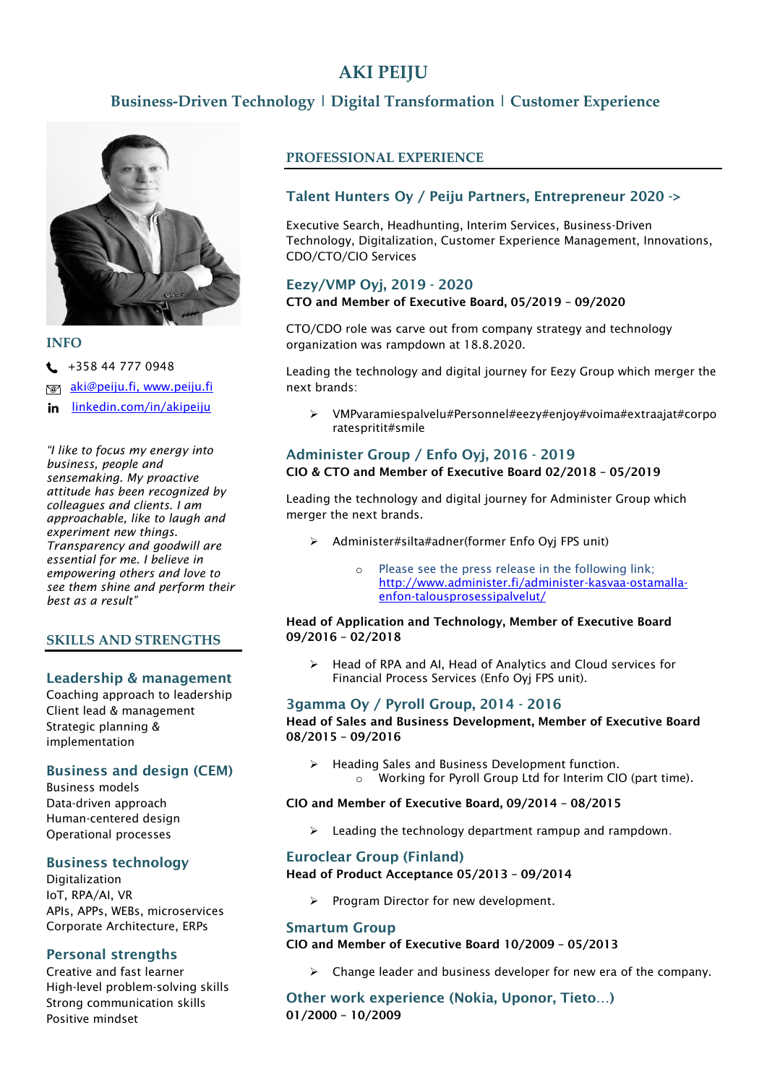# **AKI PEIJU**

## **Business-Driven Technology | Digital Transformation | Customer Experience**



#### **INFO**

 $\leftarrow$  +358 44 777 0948

[aki@peiju.fi,](mailto:aki@peiju.fi) www.peiju.fi \@^

[linkedin.com/in/akipeiju](http://www.linkedin.com/in/akipeiju) in

*"I like to focus my energy into business, people and sensemaking. My proactive attitude has been recognized by colleagues and clients. I am approachable, like to laugh and experiment new things. Transparency and goodwill are essential for me. I believe in empowering others and love to see them shine and perform their best as a result"*

## **SKILLS AND STRENGTHS**

## Leadership & management

Coaching approach to leadership Client lead & management Strategic planning & implementation

## Business and design (CEM)

Business models Data-driven approach Human-centered design Operational processes

## Business technology

Digitalization IoT, RPA/AI, VR APIs, APPs, WEBs, microservices Corporate Architecture, ERPs

## Personal strengths

Creative and fast learner High-level problem-solving skills Strong communication skills Positive mindset

## **PROFESSIONAL EXPERIENCE**

## Talent Hunters Oy / Peiju Partners, Entrepreneur 2020 ->

Executive Search, Headhunting, Interim Services, Business-Driven Technology, Digitalization, Customer Experience Management, Innovations, CDO/CTO/CIO Services

## Eezy/VMP Oyj, 2019 - 2020

#### CTO and Member of Executive Board, 05/2019 – 09/2020

CTO/CDO role was carve out from company strategy and technology organization was rampdown at 18.8.2020.

Leading the technology and digital journey for Eezy Group which merger the next brands:

➢ VMPvaramiespalvelu#Personnel#eezy#enjoy#voima#extraajat#corpo ratespritit#smile

#### Administer Group / Enfo Oyj, 2016 - 2019 CIO & CTO and Member of Executive Board 02/2018 – 05/2019

Leading the technology and digital journey for Administer Group which merger the next brands.

- ➢ Administer#silta#adner(former Enfo Oyj FPS unit)
	- Please see the press release in the following link; [http://www.administer.fi/administer-kasvaa-ostamalla](http://www.administer.fi/administer-kasvaa-ostamalla-enfon-talousprosessipalvelut/)[enfon-talousprosessipalvelut/](http://www.administer.fi/administer-kasvaa-ostamalla-enfon-talousprosessipalvelut/)

#### Head of Application and Technology, Member of Executive Board 09/2016 – 02/2018

➢ Head of RPA and AI, Head of Analytics and Cloud services for Financial Process Services (Enfo Oyj FPS unit).

## 3gamma Oy / Pyroll Group, 2014 - 2016

Head of Sales and Business Development, Member of Executive Board 08/2015 – 09/2016

➢ Heading Sales and Business Development function. o Working for Pyroll Group Ltd for Interim CIO (part time).

#### CIO and Member of Executive Board, 09/2014 – 08/2015

➢ Leading the technology department rampup and rampdown.

## Euroclear Group (Finland)

Head of Product Acceptance 05/2013 – 09/2014

Program Director for new development.

## Smartum Group

#### CIO and Member of Executive Board 10/2009 – 05/2013

 $\triangleright$  Change leader and business developer for new era of the company.

Other work experience (Nokia, Uponor, Tieto…) 01/2000 – 10/2009